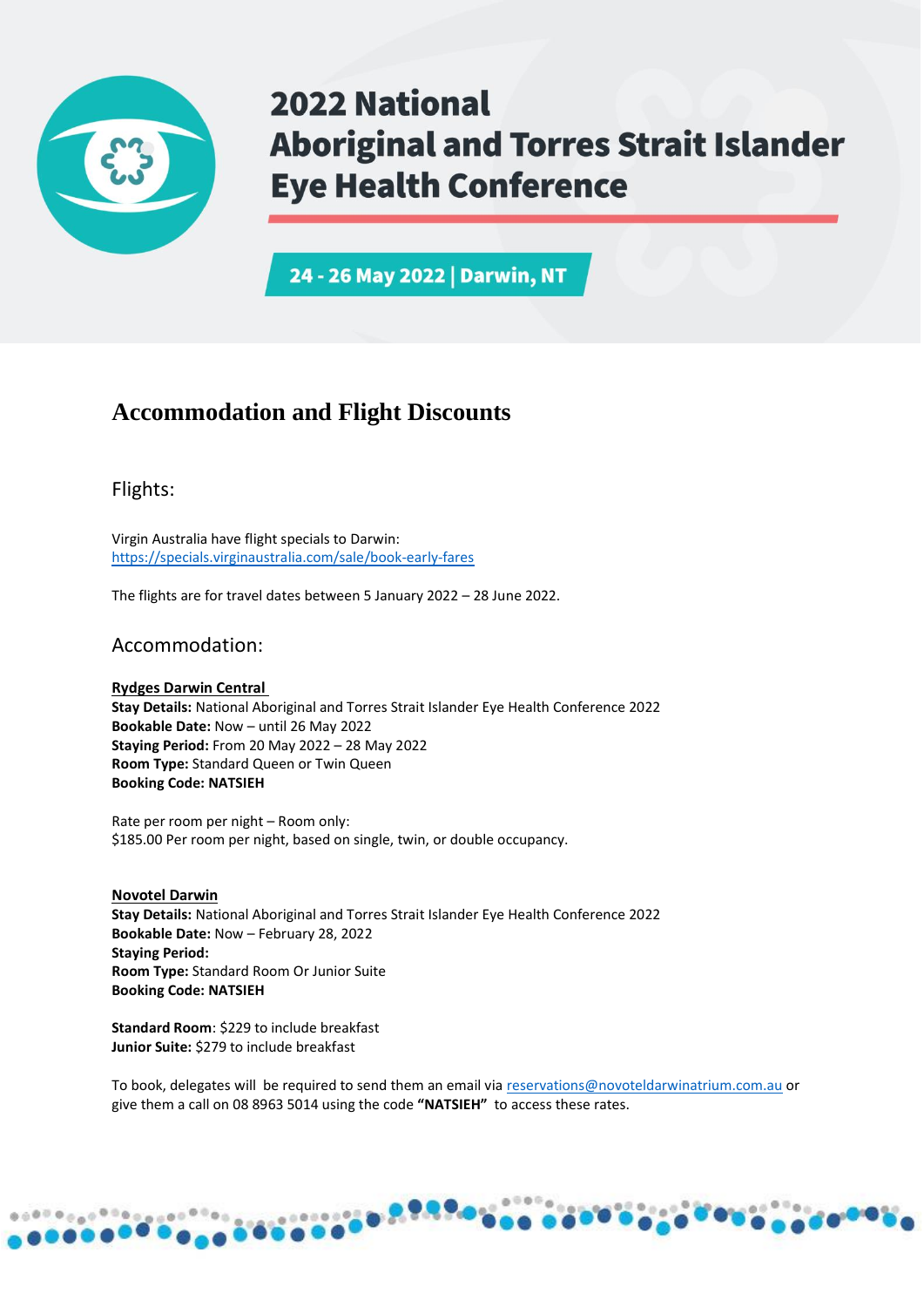

# **2022 National Aboriginal and Torres Strait Islander Eye Health Conference**

24 - 26 May 2022 | Darwin, NT

# **Accommodation and Flight Discounts**

# Flights:

Virgin Australia have flight specials to Darwin: [https://specials.virginaustralia.com/sale/book-early-fares](https://protect-au.mimecast.com/s/76_mCvl0E5u7J0oo4tQY14J?domain=specials.virginaustralia.com)

The flights are for travel dates between 5 January 2022 – 28 June 2022.

## Accommodation:

### **Rydges Darwin Central**

**Stay Details:** National Aboriginal and Torres Strait Islander Eye Health Conference 2022 **Bookable Date:** Now – until 26 May 2022 **Staying Period:** From 20 May 2022 – 28 May 2022 **Room Type:** Standard Queen or Twin Queen **Booking Code: NATSIEH**

Rate per room per night – Room only: \$185.00 Per room per night, based on single, twin, or double occupancy.

**Novotel Darwin Stay Details:** National Aboriginal and Torres Strait Islander Eye Health Conference 2022 **Bookable Date:** Now – February 28, 2022 **Staying Period: Room Type:** Standard Room Or Junior Suite **Booking Code: NATSIEH**

**Standard Room**: \$229 to include breakfast **Junior Suite:** \$279 to include breakfast

 $0<0$ 

To book, delegates will be required to send them an email via [reservations@novoteldarwinatrium.com.au](mailto:reservations@novoteldarwinatrium.com.au) or give them a call on 08 8963 5014 using the code **"NATSIEH"** to access these rates.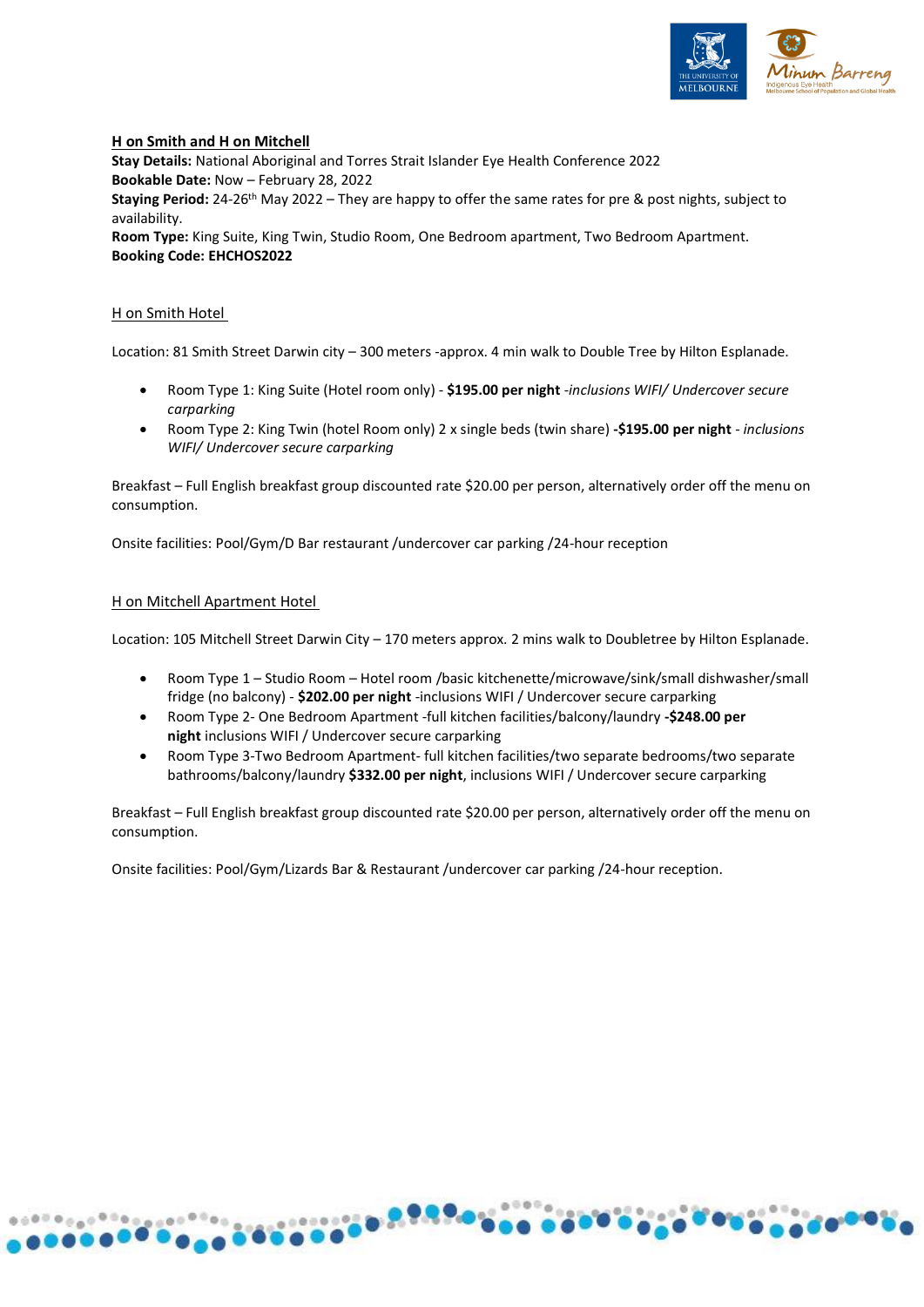

#### **H on Smith and H on Mitchell**

**Stay Details:** National Aboriginal and Torres Strait Islander Eye Health Conference 2022 **Bookable Date:** Now – February 28, 2022

**Staying Period:** 24-26th May 2022 – They are happy to offer the same rates for pre & post nights, subject to availability.

**Room Type:** King Suite, King Twin, Studio Room, One Bedroom apartment, Two Bedroom Apartment. **Booking Code: EHCHOS2022**

#### H on Smith Hotel

Location: 81 Smith Street Darwin city – 300 meters -approx. 4 min walk to Double Tree by Hilton Esplanade.

- Room Type 1: King Suite (Hotel room only) **\$195.00 per night** -*inclusions WIFI/ Undercover secure carparking*
- Room Type 2: King Twin (hotel Room only) 2 x single beds (twin share) **-\$195.00 per night** *inclusions WIFI/ Undercover secure carparking*

Breakfast – Full English breakfast group discounted rate \$20.00 per person, alternatively order off the menu on consumption.

Onsite facilities: Pool/Gym/D Bar restaurant /undercover car parking /24-hour reception

#### H on Mitchell Apartment Hotel

Location: 105 Mitchell Street Darwin City – 170 meters approx. 2 mins walk to Doubletree by Hilton Esplanade.

- Room Type 1 Studio Room Hotel room /basic kitchenette/microwave/sink/small dishwasher/small fridge (no balcony) - **\$202.00 per night** -inclusions WIFI / Undercover secure carparking
- Room Type 2- One Bedroom Apartment -full kitchen facilities/balcony/laundry **-\$248.00 per night** inclusions WIFI / Undercover secure carparking
- Room Type 3-Two Bedroom Apartment- full kitchen facilities/two separate bedrooms/two separate bathrooms/balcony/laundry **\$332.00 per night**, inclusions WIFI / Undercover secure carparking

Breakfast – Full English breakfast group discounted rate \$20.00 per person, alternatively order off the menu on consumption.

Onsite facilities: Pool/Gym/Lizards Bar & Restaurant /undercover car parking /24-hour reception.

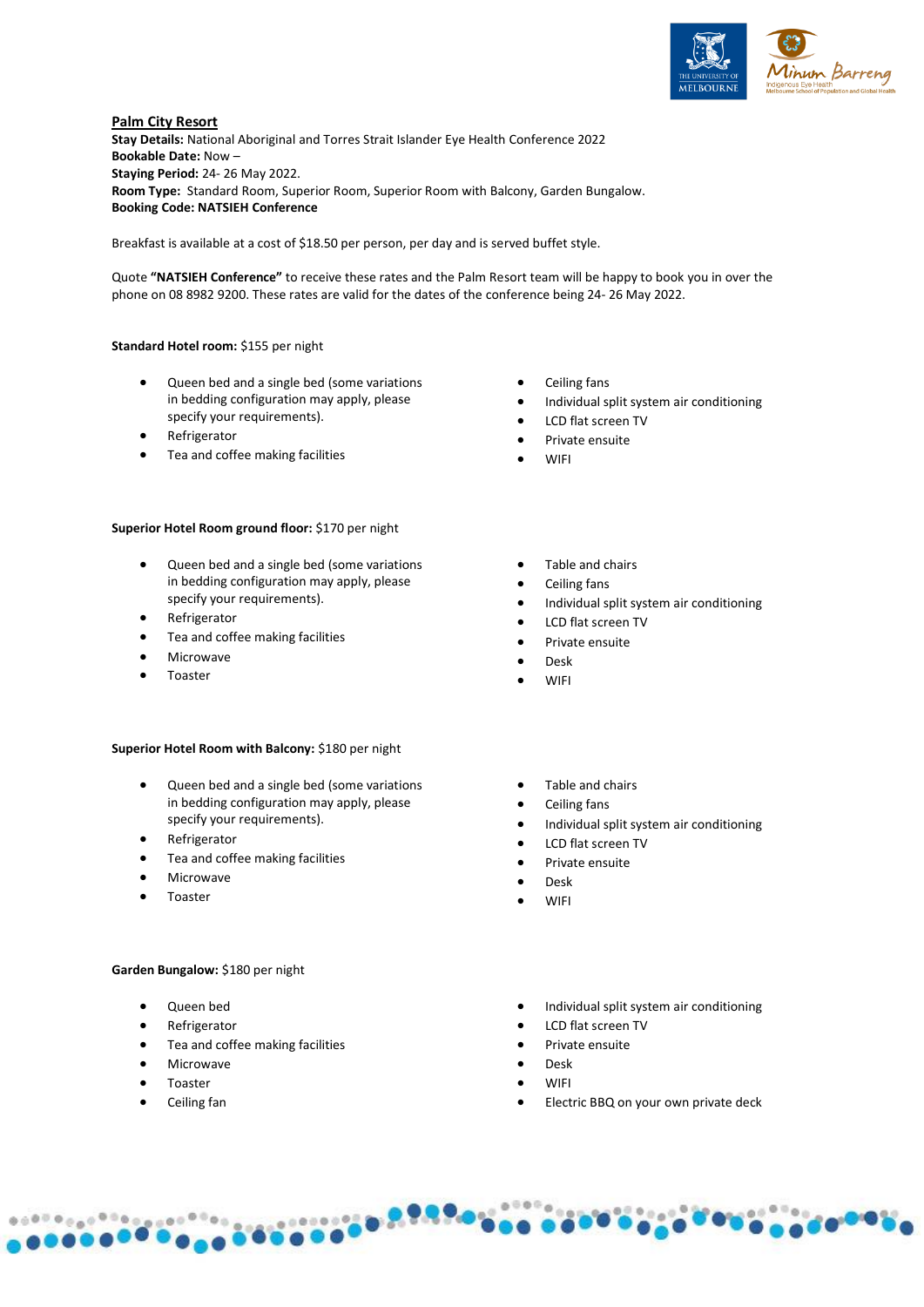

#### **Palm City Resort**

**Stay Details:** National Aboriginal and Torres Strait Islander Eye Health Conference 2022 **Bookable Date:** Now – **Staying Period:** 24- 26 May 2022. **Room Type:** Standard Room, Superior Room, Superior Room with Balcony, Garden Bungalow. **Booking Code: NATSIEH Conference**

Breakfast is available at a cost of \$18.50 per person, per day and is served buffet style.

Quote **"NATSIEH Conference"** to receive these rates and the Palm Resort team will be happy to book you in over the phone on 08 8982 9200. These rates are valid for the dates of the conference being 24- 26 May 2022.

#### **Standard Hotel room:** \$155 per night

- Queen bed and a single bed (some variations in bedding configuration may apply, please specify your requirements).
- **Refrigerator**
- Tea and coffee making facilities

#### **Superior Hotel Room ground floor:** \$170 per night

- Queen bed and a single bed (some variations in bedding configuration may apply, please specify your requirements).
- **Refrigerator**
- Tea and coffee making facilities
- **Microwave**
- **Toaster**

#### **Superior Hotel Room with Balcony:** \$180 per night

- Queen bed and a single bed (some variations in bedding configuration may apply, please specify your requirements).
- **Refrigerator**
- Tea and coffee making facilities
- Microwave
- Toaster

#### **Garden Bungalow:** \$180 per night

- Queen bed
- **Refrigerator**
- Tea and coffee making facilities
- Microwave
- Toaster
- Ceiling fan
- Ceiling fans
- Individual split system air conditioning
- LCD flat screen TV
- Private ensuite
- WIFI
- Table and chairs
- Ceiling fans
- Individual split system air conditioning
- LCD flat screen TV
- Private ensuite
- Desk
- WIFI
- Table and chairs
- Ceiling fans
- Individual split system air conditioning
- LCD flat screen TV
- Private ensuite
- Desk
- WIFI
- Individual split system air conditioning
- LCD flat screen TV
- Private ensuite
- Desk

**DOPPR** 

- WIFI
- Electric BBQ on your own private deck